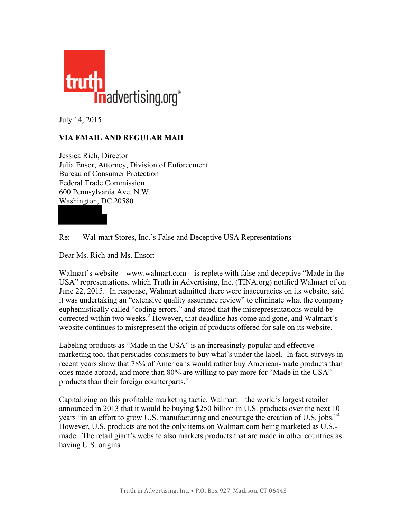

July 14, 2015

## **VIA EMAIL AND REGULAR MAIL**

Jessica Rich, Director Julia Ensor, Attorney, Division of Enforcement Bureau of Consumer Protection Federal Trade Commission 600 Pennsylvania Ave. N.W. Washington, DC 20580

Re: Wal-mart Stores, Inc.'s False and Deceptive USA Representations

Dear Ms. Rich and Ms. Ensor:

Walmart's website – www.walmart.com – is replete with false and deceptive "Made in the USA" representations, which Truth in Advertising, Inc. (TINA.org) notified Walmart of on June 22,  $2015<sup>1</sup>$  In response, Walmart admitted there were inaccuracies on its website, said it was undertaking an "extensive quality assurance review" to eliminate what the company euphemistically called "coding errors," and stated that the misrepresentations would be corrected within two weeks.<sup>2</sup> However, that deadline has come and gone, and Walmart's website continues to misrepresent the origin of products offered for sale on its website.

Labeling products as "Made in the USA" is an increasingly popular and effective marketing tool that persuades consumers to buy what's under the label. In fact, surveys in recent years show that 78% of Americans would rather buy American-made products than ones made abroad, and more than 80% are willing to pay more for "Made in the USA" products than their foreign counterparts.<sup>3</sup>

Capitalizing on this profitable marketing tactic, Walmart – the world's largest retailer – announced in 2013 that it would be buying \$250 billion in U.S. products over the next 10 years "in an effort to grow U.S. manufacturing and encourage the creation of U.S. jobs." 4 However, U.S. products are not the only items on Walmart.com being marketed as U.S. made. The retail giant's website also markets products that are made in other countries as having U.S. origins.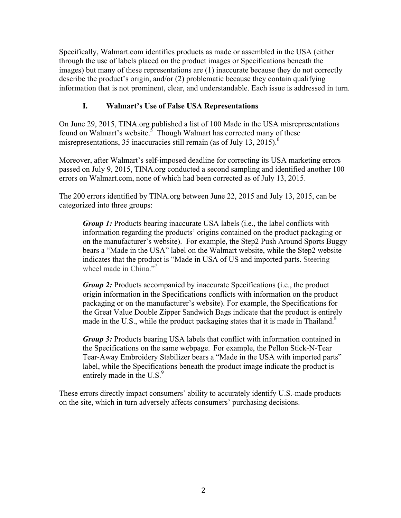Specifically, Walmart.com identifies products as made or assembled in the USA (either through the use of labels placed on the product images or Specifications beneath the images) but many of these representations are (1) inaccurate because they do not correctly describe the product's origin, and/or (2) problematic because they contain qualifying information that is not prominent, clear, and understandable. Each issue is addressed in turn.

## **I. Walmart's Use of False USA Representations**

On June 29, 2015, TINA.org published a list of 100 Made in the USA misrepresentations found on Walmart's website.<sup>5</sup> Though Walmart has corrected many of these misrepresentations, 35 inaccuracies still remain (as of July 13, 2015).<sup>6</sup>

Moreover, after Walmart's self-imposed deadline for correcting its USA marketing errors passed on July 9, 2015, TINA.org conducted a second sampling and identified another 100 errors on Walmart.com, none of which had been corrected as of July 13, 2015.

The 200 errors identified by TINA.org between June 22, 2015 and July 13, 2015, can be categorized into three groups:

*Group 1:* Products bearing inaccurate USA labels (i.e., the label conflicts with information regarding the products' origins contained on the product packaging or on the manufacturer's website). For example, the Step2 Push Around Sports Buggy bears a "Made in the USA" label on the Walmart website, while the Step2 website indicates that the product is "Made in USA of US and imported parts. Steering wheel made in China."<sup>7</sup>

*Group 2:* Products accompanied by inaccurate Specifications (i.e., the product origin information in the Specifications conflicts with information on the product packaging or on the manufacturer's website). For example, the Specifications for the Great Value Double Zipper Sandwich Bags indicate that the product is entirely made in the U.S., while the product packaging states that it is made in Thailand.<sup>8</sup>

*Group 3:* Products bearing USA labels that conflict with information contained in the Specifications on the same webpage. For example, the Pellon Stick-N-Tear Tear-Away Embroidery Stabilizer bears a "Made in the USA with imported parts" label, while the Specifications beneath the product image indicate the product is entirely made in the  $U.S.<sup>9</sup>$ 

These errors directly impact consumers' ability to accurately identify U.S.-made products on the site, which in turn adversely affects consumers' purchasing decisions.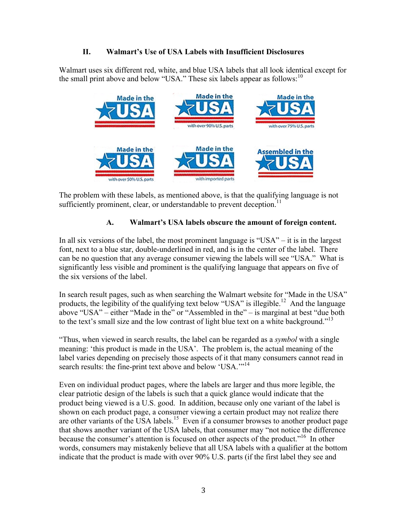## **II. Walmart's Use of USA Labels with Insufficient Disclosures**

Walmart uses six different red, white, and blue USA labels that all look identical except for the small print above and below "USA." These six labels appear as follows:  $10<sup>10</sup>$ 



The problem with these labels, as mentioned above, is that the qualifying language is not sufficiently prominent, clear, or understandable to prevent deception.<sup>11</sup>

# **A. Walmart's USA labels obscure the amount of foreign content.**

In all six versions of the label, the most prominent language is "USA" – it is in the largest font, next to a blue star, double-underlined in red, and is in the center of the label. There can be no question that any average consumer viewing the labels will see "USA." What is significantly less visible and prominent is the qualifying language that appears on five of the six versions of the label.

In search result pages, such as when searching the Walmart website for "Made in the USA" products, the legibility of the qualifying text below "USA" is illegible.<sup>12</sup> And the language above "USA" – either "Made in the" or "Assembled in the" – is marginal at best "due both to the text's small size and the low contrast of light blue text on a white background."<sup>13</sup>

"Thus, when viewed in search results, the label can be regarded as a *symbol* with a single meaning: 'this product is made in the USA'. The problem is, the actual meaning of the label varies depending on precisely those aspects of it that many consumers cannot read in search results: the fine-print text above and below 'USA.'"<sup>14</sup>

Even on individual product pages, where the labels are larger and thus more legible, the clear patriotic design of the labels is such that a quick glance would indicate that the product being viewed is a U.S. good. In addition, because only one variant of the label is shown on each product page, a consumer viewing a certain product may not realize there are other variants of the USA labels.<sup>15</sup> Even if a consumer browses to another product page that shows another variant of the USA labels, that consumer may "not notice the difference because the consumer's attention is focused on other aspects of the product."<sup>16</sup> In other words, consumers may mistakenly believe that all USA labels with a qualifier at the bottom indicate that the product is made with over 90% U.S. parts (if the first label they see and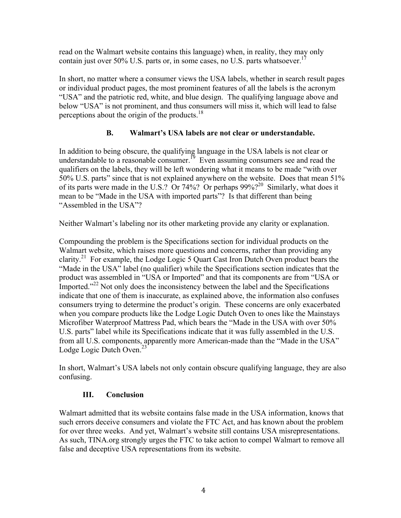read on the Walmart website contains this language) when, in reality, they may only contain just over 50% U.S. parts or, in some cases, no U.S. parts whatsoever.<sup>17</sup>

In short, no matter where a consumer views the USA labels, whether in search result pages or individual product pages, the most prominent features of all the labels is the acronym "USA" and the patriotic red, white, and blue design. The qualifying language above and below "USA" is not prominent, and thus consumers will miss it, which will lead to false perceptions about the origin of the products.<sup>18</sup>

## **B. Walmart's USA labels are not clear or understandable.**

In addition to being obscure, the qualifying language in the USA labels is not clear or understandable to a reasonable consumer.<sup>19</sup> Even assuming consumers see and read the qualifiers on the labels, they will be left wondering what it means to be made "with over 50% U.S. parts" since that is not explained anywhere on the website. Does that mean 51% of its parts were made in the U.S.? Or 74%? Or perhaps  $99\%$ ?<sup>20</sup> Similarly, what does it mean to be "Made in the USA with imported parts"? Is that different than being "Assembled in the USA"?

Neither Walmart's labeling nor its other marketing provide any clarity or explanation.

Compounding the problem is the Specifications section for individual products on the Walmart website, which raises more questions and concerns, rather than providing any clarity.<sup>21</sup> For example, the Lodge Logic 5 Quart Cast Iron Dutch Oven product bears the "Made in the USA" label (no qualifier) while the Specifications section indicates that the product was assembled in "USA or Imported" and that its components are from "USA or Imported."<sup>22</sup> Not only does the inconsistency between the label and the Specifications indicate that one of them is inaccurate, as explained above, the information also confuses consumers trying to determine the product's origin. These concerns are only exacerbated when you compare products like the Lodge Logic Dutch Oven to ones like the Mainstays Microfiber Waterproof Mattress Pad, which bears the "Made in the USA with over 50% U.S. parts" label while its Specifications indicate that it was fully assembled in the U.S. from all U.S. components, apparently more American-made than the "Made in the USA" Lodge Logic Dutch Oven.<sup>23</sup>

In short, Walmart's USA labels not only contain obscure qualifying language, they are also confusing.

#### **III. Conclusion**

Walmart admitted that its website contains false made in the USA information, knows that such errors deceive consumers and violate the FTC Act, and has known about the problem for over three weeks. And yet, Walmart's website still contains USA misrepresentations. As such, TINA.org strongly urges the FTC to take action to compel Walmart to remove all false and deceptive USA representations from its website.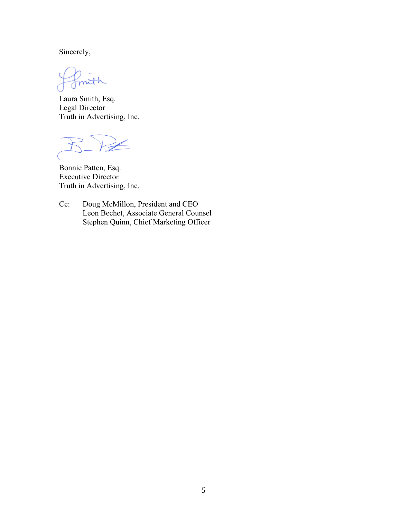Sincerely,

mith

Laura Smith, Esq. Legal Director Truth in Advertising, Inc.

 $\leq$ 

Bonnie Patten, Esq. Executive Director Truth in Advertising, Inc.

Cc: Doug McMillon, President and CEO Leon Bechet, Associate General Counsel Stephen Quinn, Chief Marketing Officer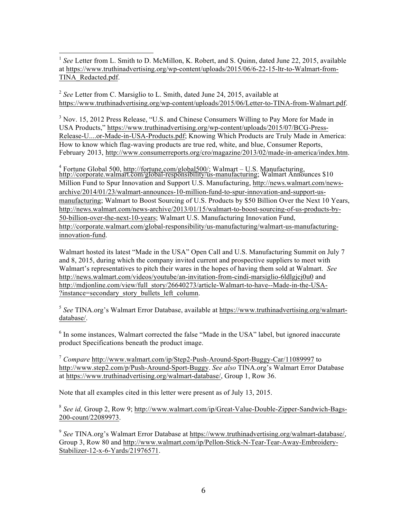<sup>1</sup> *See* Letter from L. Smith to D. McMillon, K. Robert, and S. Quinn, dated June 22, 2015, available [at https://www.truthinadvertising.org/wp-content/uploads/2015/06/6-22-15-ltr-to-Walmart-from-](https://www.truthinadvertising.org/wp-content/uploads/2015/06/6-22-15-ltr-to-Walmart-from-TINA_Redacted.pdf)TINA\_Redacted.pdf.

<sup>2</sup> *See* Letter from C. Marsiglio to L. Smith, dated June 24, 2015, available at [https://www.truthinadvertising.org/wp-content/uploads/2015/06/Letter-to-TINA-from-Walmart.pdf.](https://www.truthinadvertising.org/wp-content/uploads/2015/06/Letter-to-TINA-from-Walmart.pdf)

 $3$  Nov. 15, 2012 Press Release, "U.S. and Chinese Consumers Willing to Pay More for Made in USA Products,[" https://www.truthinadvertising.org/wp-content/uploads/2015/07/BCG-Press-](https://www.truthinadvertising.org/wp-content/uploads/2015/07/BCG-Press-Release-U....or-Made-in-USA-Products.pdf)[Release-U....or-Made-in-USA-Products.pdf;](https://www.truthinadvertising.org/wp-content/uploads/2015/07/BCG-Press-Release-U....or-Made-in-USA-Products.pdf) Knowing Which Products are Truly Made in America: How to know which flag-waving products are true red, white, and blue, Consumer Reports, February 2013, [http://www.consumerreports.org/cro/magazine/2013/02/made-in-america/index.htm.](http://www.consumerreports.org/cro/magazine/2013/02/made-in-america/index.htm)

<sup>4</sup> Fortune Global 500, [http://fortune.com/global500/;](http://fortune.com/global500/) Walmart – U.S. Manufacturing, [http://corporate.walmart.com/global-responsibility/us-manufacturing;](http://corporate.walmart.com/global-responsibility/us-manufacturing) Walmart Announces \$10 Million Fund to Spur Innovation and Support U.S. Manufacturing, [http://news.walmart.com/news](http://news.walmart.com/news-archive/2014/01/23/walmart-announces-10-million-fund-to-spur-innovation-and-support-us-manufacturing)[archive/2014/01/23/walmart-announces-10-million-fund-to-spur-innovation-and-support-us](http://news.walmart.com/news-archive/2014/01/23/walmart-announces-10-million-fund-to-spur-innovation-and-support-us-manufacturing)[manufacturing;](http://news.walmart.com/news-archive/2014/01/23/walmart-announces-10-million-fund-to-spur-innovation-and-support-us-manufacturing) Walmart to Boost Sourcing of U.S. Products by \$50 Billion Over the Next 10 Years, [http://news.walmart.com/news-archive/2013/01/15/walmart-to-boost-sourcing-of-us-products-by-](http://news.walmart.com/news-archive/2013/01/15/walmart-to-boost-sourcing-of-us-products-by-50-billion-over-the-next-10-years)[50-billion-over-the-next-10-years;](http://news.walmart.com/news-archive/2013/01/15/walmart-to-boost-sourcing-of-us-products-by-50-billion-over-the-next-10-years) Walmart U.S. Manufacturing Innovation Fund, [http://corporate.walmart.com/global-responsibility/us-manufacturing/walmart-us-manufacturing](http://corporate.walmart.com/global-responsibility/us-manufacturing/walmart-us-manufacturing-innovation-fund)[innovation-fund.](http://corporate.walmart.com/global-responsibility/us-manufacturing/walmart-us-manufacturing-innovation-fund) 

Walmart hosted its latest "Made in the USA" Open Call and U.S. Manufacturing Summit on July 7 and 8, 2015, during which the company invited current and prospective suppliers to meet with Walmart's representatives to pitch their wares in the hopes of having them sold at Walmart. *See*  <http://news.walmart.com/videos/youtube/an-invitation-from-cindi-marsiglio-6ldlgjcj0u0> and [http://mdjonline.com/view/full\\_story/26640273/article-Walmart-to-have--Made-in-the-USA-](http://mdjonline.com/view/full_story/26640273/article-Walmart-to-have--Made-in-the-USA-?instance=secondary_story_bullets_left_column) ?instance=secondary\_story\_bullets\_left\_column.

<sup>5</sup> *See* TINA.org's Walmart Error Database, available at [https://www.truthinadvertising.org/walmart](https://www.truthinadvertising.org/walmart-database/)[database/.](https://www.truthinadvertising.org/walmart-database/) 

<sup>6</sup> In some instances, Walmart corrected the false "Made in the USA" label, but ignored inaccurate product Specifications beneath the product image.

<sup>7</sup> *Compare* <http://www.walmart.com/ip/Step2-Push-Around-Sport-Buggy-Car/11089997> to [http://www.step2.com/p/Push-Around-Sport-Buggy.](http://www.step2.com/p/Push-Around-Sport-Buggy) *See also* TINA.org's Walmart Error Database at [https://www.truthinadvertising.org/walmart-database/,](https://www.truthinadvertising.org/walmart-database/) Group 1, Row 36.

Note that all examples cited in this letter were present as of July 13, 2015.

<sup>8</sup> *See id,* Group 2, Row 9; [http://www.walmart.com/ip/Great-Value-Double-Zipper-Sandwich-Bags-](http://www.walmart.com/ip/Great-Value-Double-Zipper-Sandwich-Bags-200-count/22089973)[200-count/22089973.](http://www.walmart.com/ip/Great-Value-Double-Zipper-Sandwich-Bags-200-count/22089973)

<sup>9</sup> See TINA.org's Walmart Error Database at [https://www.truthinadvertising.org/walmart-database/,](https://www.truthinadvertising.org/walmart-database/) Group 3, Row 80 and [http://www.walmart.com/ip/Pellon-Stick-N-Tear-Tear-Away-Embroidery-](http://www.walmart.com/ip/Pellon-Stick-N-Tear-Tear-Away-Embroidery-Stabilizer-12-x-6-Yards/21976571)[Stabilizer-12-x-6-Yards/21976571](http://www.walmart.com/ip/Pellon-Stick-N-Tear-Tear-Away-Embroidery-Stabilizer-12-x-6-Yards/21976571).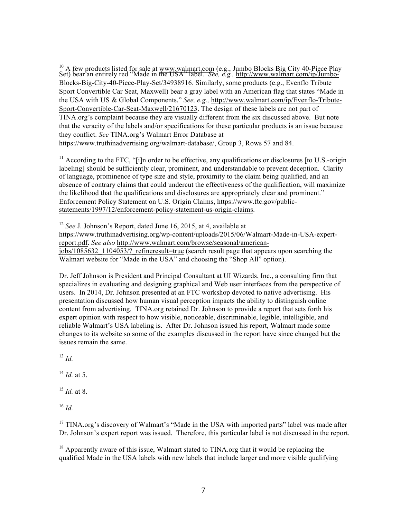$\frac{10}{6}$  A few products listed for sale at www.walmart.com (e.g., Jumbo Blocks Big City 40-Piece Play Set) bear an entirely red "Made in the USA" label. *See, e.g.,* [http://www.walmart.com/ip/Jumbo-](http://www.walmart.com/ip/Jumbo-Blocks-Big-City-40-Piece-Play-Set/34938916)[Blocks-Big-City-40-Piece-Play-Set/34938916.](http://www.walmart.com/ip/Jumbo-Blocks-Big-City-40-Piece-Play-Set/34938916) Similarly, some products (e.g., Evenflo Tribute Sport Convertible Car Seat, Maxwell) bear a gray label with an American flag that states "Made in the USA with US & Global Components." *See, e.g.,* [http://www.walmart.com/ip/Evenflo-Tribute-](http://www.walmart.com/ip/Evenflo-Tribute-Sport-Convertible-Car-Seat-Maxwell/21670123)[Sport-Convertible-Car-Seat-Maxwell/21670123.](http://www.walmart.com/ip/Evenflo-Tribute-Sport-Convertible-Car-Seat-Maxwell/21670123) The design of these labels are not part of TINA.org's complaint because they are visually different from the six discussed above. But note that the veracity of the labels and/or specifications for these particular products is an issue because they conflict. *See* TINA.org's Walmart Error Database at [https://www.truthinadvertising.org/walmart-database/,](https://www.truthinadvertising.org/walmart-database/) Group 3, Rows 57 and 84.

 $11$  According to the FTC, "[i]n order to be effective, any qualifications or disclosures [to U.S.-origin] labeling] should be sufficiently clear, prominent, and understandable to prevent deception. Clarity of language, prominence of type size and style, proximity to the claim being qualified, and an absence of contrary claims that could undercut the effectiveness of the qualification, will maximize the likelihood that the qualifications and disclosures are appropriately clear and prominent." Enforcement Policy Statement on U.S. Origin Claims, [https://www.ftc.gov/public](https://www.ftc.gov/public-statements/1997/12/enforcement-policy-statement-us-origin-claims)[statements/1997/12/enforcement-policy-statement-us-origin-claims.](https://www.ftc.gov/public-statements/1997/12/enforcement-policy-statement-us-origin-claims)

<sup>12</sup> *See* J. Johnson's Report, dated June 16, 2015, at 4, available at [https://www.truthinadvertising.org/wp-content/uploads/2015/06/Walmart-Made-in-USA-expert](https://www.truthinadvertising.org/wp-content/uploads/2015/06/Walmart-Made-in-USA-expert-report.pdf)[report.pdf.](https://www.truthinadvertising.org/wp-content/uploads/2015/06/Walmart-Made-in-USA-expert-report.pdf) *See also* [http://www.walmart.com/browse/seasonal/american](http://www.walmart.com/browse/seasonal/american-jobs/1085632_1104053/?_refineresult=true)jobs/1085632 1104053/? refineresult=true (search result page that appears upon searching the Walmart website for "Made in the USA" and choosing the "Shop All" option).

Dr. Jeff Johnson is President and Principal Consultant at UI Wizards, Inc., a consulting firm that specializes in evaluating and designing graphical and Web user interfaces from the perspective of users. In 2014, Dr. Johnson presented at an FTC workshop devoted to native advertising. His presentation discussed how human visual perception impacts the ability to distinguish online content from advertising. TINA.org retained Dr. Johnson to provide a report that sets forth his expert opinion with respect to how visible, noticeable, discriminable, legible, intelligible, and reliable Walmart's USA labeling is. After Dr. Johnson issued his report, Walmart made some changes to its website so some of the examples discussed in the report have since changed but the issues remain the same.

<sup>13</sup> *Id.*

 $^{14}$  *Id.* at 5.

<sup>15</sup> *Id.* at 8.

 $16$  *Id.* 

<sup>17</sup> TINA.org's discovery of Walmart's "Made in the USA with imported parts" label was made after Dr. Johnson's expert report was issued. Therefore, this particular label is not discussed in the report.

 $18$  Apparently aware of this issue, Walmart stated to TINA.org that it would be replacing the qualified Made in the USA labels with new labels that include larger and more visible qualifying